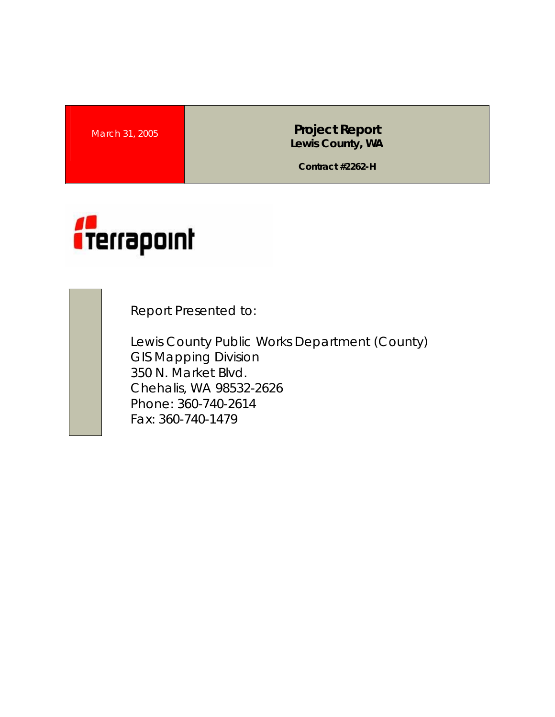**March 31, 2005 <b>Project Report Project Report Lewis County, WA** 

**Contract #2262-H** 



Report Presented to:

Lewis County Public Works Department (County) GIS Mapping Division 350 N. Market Blvd. Chehalis, WA 98532-2626 Phone: 360-740-2614 Fax: 360-740-1479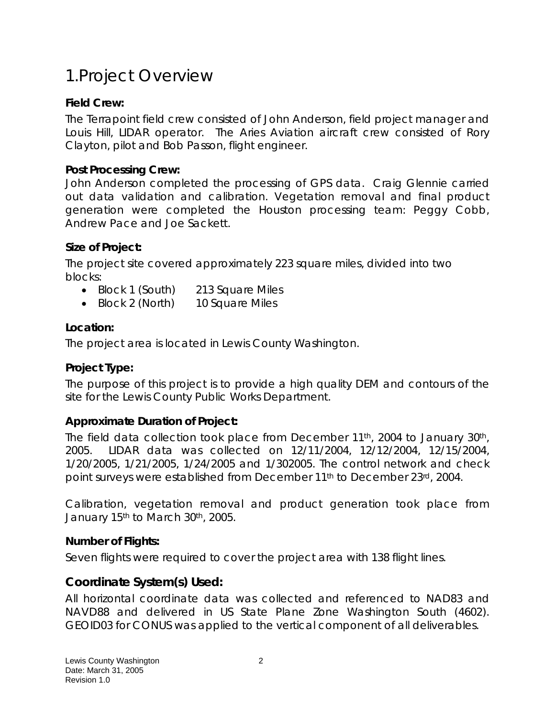# 1.Project Overview

### **Field Crew:**

The Terrapoint field crew consisted of John Anderson, field project manager and Louis Hill, LIDAR operator. The Aries Aviation aircraft crew consisted of Rory Clayton, pilot and Bob Passon, flight engineer.

#### **Post Processing Crew:**

John Anderson completed the processing of GPS data. Craig Glennie carried out data validation and calibration. Vegetation removal and final product generation were completed the Houston processing team: Peggy Cobb, Andrew Pace and Joe Sackett.

#### **Size of Project:**

The project site covered approximately 223 square miles, divided into two blocks:

- Block 1 (South) 213 Square Miles
- Block 2 (North) 10 Square Miles

#### **Location:**

The project area is located in Lewis County Washington.

### **Project Type:**

The purpose of this project is to provide a high quality DEM and contours of the site for the Lewis County Public Works Department.

### **Approximate Duration of Project:**

The field data collection took place from December 11<sup>th</sup>, 2004 to January 30<sup>th</sup>, 2005. LIDAR data was collected on 12/11/2004, 12/12/2004, 12/15/2004, 1/20/2005, 1/21/2005, 1/24/2005 and 1/302005. The control network and check point surveys were established from December 11th to December 23rd, 2004.

Calibration, vegetation removal and product generation took place from January 15<sup>th</sup> to March 30<sup>th</sup>, 2005.

### **Number of Flights:**

Seven flights were required to cover the project area with 138 flight lines.

## **Coordinate System(s) Used:**

All horizontal coordinate data was collected and referenced to NAD83 and NAVD88 and delivered in US State Plane Zone Washington South (4602). GEOID03 for CONUS was applied to the vertical component of all deliverables.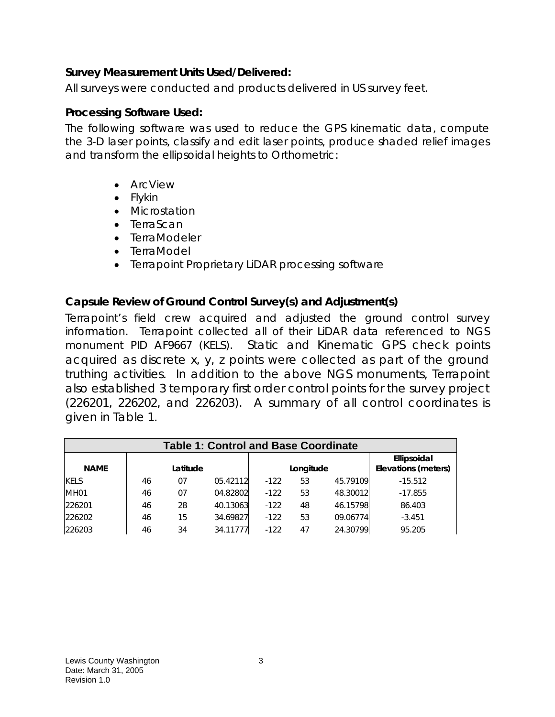#### **Survey Measurement Units Used/Delivered:**

All surveys were conducted and products delivered in US survey feet.

#### **Processing Software Used:**

The following software was used to reduce the GPS kinematic data, compute the 3-D laser points, classify and edit laser points, produce shaded relief images and transform the ellipsoidal heights to Orthometric:

- ArcView
- Flykin
- Microstation
- TerraScan
- TerraModeler
- TerraModel
- Terrapoint Proprietary LiDAR processing software

#### **Capsule Review of Ground Control Survey(s) and Adjustment(s)**

Terrapoint's field crew acquired and adjusted the ground control survey information. Terrapoint collected all of their LiDAR data referenced to NGS monument PID AF9667 (KELS). Static and Kinematic GPS check points acquired as discrete x, y, z points were collected as part of the ground truthing activities. In addition to the above NGS monuments, Terrapoint also established 3 temporary first order control points for the survey project (226201, 226202, and 226203). A summary of all control coordinates is given in Table 1.

| <b>Table 1: Control and Base Coordinate</b> |    |          |          |        |           |          |                                    |
|---------------------------------------------|----|----------|----------|--------|-----------|----------|------------------------------------|
| <b>NAME</b>                                 |    | Latitude |          |        | Longitude |          | Ellipsoidal<br>Elevations (meters) |
| <b>KELS</b>                                 | 46 | 07       | 05.42112 | $-122$ | 53        | 45.79109 | $-15.512$                          |
| <b>MH01</b>                                 | 46 | 07       | 04.82802 | $-122$ | 53        | 48.30012 | $-17.855$                          |
| 226201                                      | 46 | 28       | 40.13063 | $-122$ | 48        | 46.15798 | 86.403                             |
| 226202                                      | 46 | 15       | 34.69827 | $-122$ | 53        | 09.06774 | $-3.451$                           |
| 226203                                      | 46 | 34       | 34.11777 | $-122$ | 47        | 24.30799 | 95.205                             |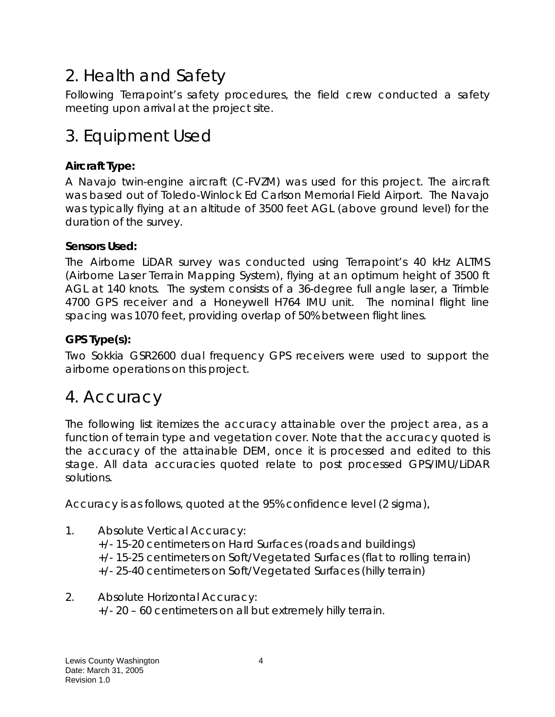# 2. Health and Safety

Following Terrapoint's safety procedures, the field crew conducted a safety meeting upon arrival at the project site.

# 3. Equipment Used

## **Aircraft Type:**

A Navajo twin-engine aircraft (C-FVZM) was used for this project. The aircraft was based out of Toledo-Winlock Ed Carlson Memorial Field Airport. The Navajo was typically flying at an altitude of 3500 feet AGL (above ground level) for the duration of the survey.

### **Sensors Used:**

The Airborne LiDAR survey was conducted using Terrapoint's 40 kHz ALTMS (Airborne Laser Terrain Mapping System), flying at an optimum height of 3500 ft AGL at 140 knots. The system consists of a 36-degree full angle laser, a Trimble 4700 GPS receiver and a Honeywell H764 IMU unit. The nominal flight line spacing was 1070 feet, providing overlap of 50% between flight lines.

## **GPS Type(s):**

Two Sokkia GSR2600 dual frequency GPS receivers were used to support the airborne operations on this project.

## 4. Accuracy

The following list itemizes the accuracy attainable over the project area, as a function of terrain type and vegetation cover. Note that the accuracy quoted is the accuracy of the attainable DEM, once it is processed and edited to this stage. All data accuracies quoted relate to post processed GPS/IMU/LiDAR solutions.

Accuracy is as follows, quoted at the 95% confidence level (2 sigma),

- 1. Absolute Vertical Accuracy: +/- 15-20 centimeters on Hard Surfaces (roads and buildings) +/- 15-25 centimeters on Soft/Vegetated Surfaces (flat to rolling terrain) +/- 25-40 centimeters on Soft/Vegetated Surfaces (hilly terrain)
- 2. Absolute Horizontal Accuracy: +/- 20 – 60 centimeters on all but extremely hilly terrain.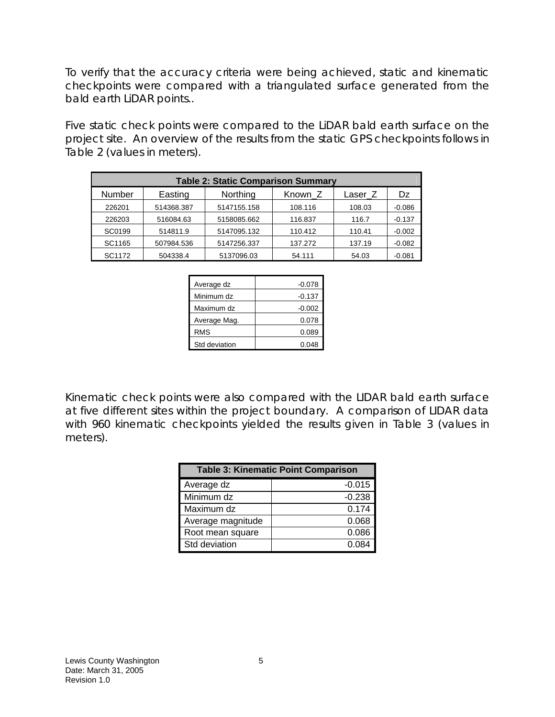To verify that the accuracy criteria were being achieved, static and kinematic checkpoints were compared with a triangulated surface generated from the bald earth LiDAR points..

Five static check points were compared to the LiDAR bald earth surface on the project site. An overview of the results from the static GPS checkpoints follows in Table 2 (values in meters).

| <b>Table 2: Static Comparison Summary</b> |            |             |         |         |          |  |
|-------------------------------------------|------------|-------------|---------|---------|----------|--|
| Number                                    | Easting    | Northing    | Known Z | Laser Z | Dz       |  |
| 226201                                    | 514368.387 | 5147155.158 | 108.116 | 108.03  | $-0.086$ |  |
| 226203                                    | 516084.63  | 5158085.662 | 116.837 | 116.7   | $-0.137$ |  |
| SC0199                                    | 514811.9   | 5147095.132 | 110.412 | 110.41  | $-0.002$ |  |
| SC1165                                    | 507984.536 | 5147256.337 | 137.272 | 137.19  | $-0.082$ |  |
| SC1172                                    | 504338.4   | 5137096.03  | 54.111  | 54.03   | $-0.081$ |  |

| Average dz    | $-0.078$ |
|---------------|----------|
| Minimum dz    | $-0.137$ |
| Maximum dz    | $-0.002$ |
| Average Mag.  | 0.078    |
| <b>RMS</b>    | 0.089    |
| Std deviation | 0.048    |

Kinematic check points were also compared with the LIDAR bald earth surface at five different sites within the project boundary. A comparison of LIDAR data with 960 kinematic checkpoints yielded the results given in Table 3 (values in meters).

| <b>Table 3: Kinematic Point Comparison</b> |          |  |  |
|--------------------------------------------|----------|--|--|
| Average dz                                 | $-0.015$ |  |  |
| Minimum dz                                 | $-0.238$ |  |  |
| Maximum dz                                 | 0.174    |  |  |
| Average magnitude                          | 0.068    |  |  |
| Root mean square                           | 0.086    |  |  |
| Std deviation                              | 0 084    |  |  |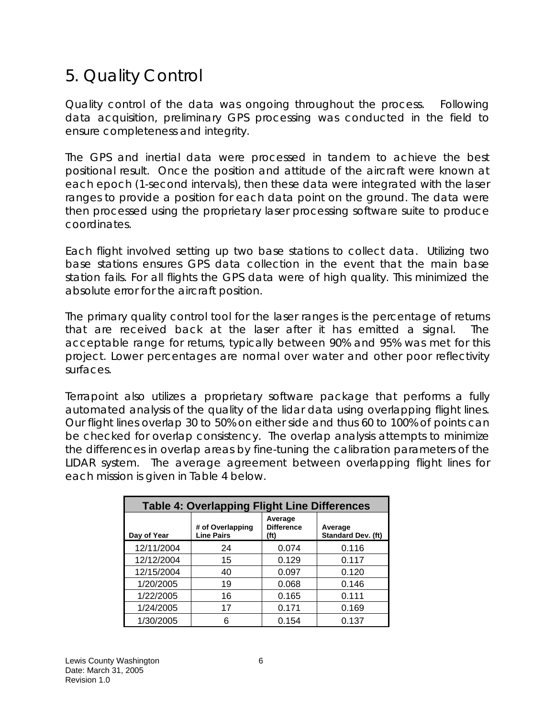## 5. Quality Control

Quality control of the data was ongoing throughout the process. Following data acquisition, preliminary GPS processing was conducted in the field to ensure completeness and integrity.

The GPS and inertial data were processed in tandem to achieve the best positional result. Once the position and attitude of the aircraft were known at each epoch (1-second intervals), then these data were integrated with the laser ranges to provide a position for each data point on the ground. The data were then processed using the proprietary laser processing software suite to produce coordinates.

Each flight involved setting up two base stations to collect data. Utilizing two base stations ensures GPS data collection in the event that the main base station fails. For all flights the GPS data were of high quality. This minimized the absolute error for the aircraft position.

The primary quality control tool for the laser ranges is the percentage of returns that are received back at the laser after it has emitted a signal. The acceptable range for returns, typically between 90% and 95% was met for this project. Lower percentages are normal over water and other poor reflectivity surfaces.

Terrapoint also utilizes a proprietary software package that performs a fully automated analysis of the quality of the lidar data using overlapping flight lines. Our flight lines overlap 30 to 50% on either side and thus 60 to 100% of points can be checked for overlap consistency. The overlap analysis attempts to minimize the differences in overlap areas by fine-tuning the calibration parameters of the LIDAR system. The average agreement between overlapping flight lines for each mission is given in Table 4 below.

| <b>Table 4: Overlapping Flight Line Differences</b> |                                       |                                                   |                               |  |  |
|-----------------------------------------------------|---------------------------------------|---------------------------------------------------|-------------------------------|--|--|
| Day of Year                                         | # of Overlapping<br><b>Line Pairs</b> | Average<br><b>Difference</b><br>(f <sup>t</sup> ) | Average<br>Standard Dev. (ft) |  |  |
| 12/11/2004                                          | 24                                    | 0.074                                             | 0.116                         |  |  |
| 12/12/2004                                          | 15                                    | 0.129                                             | 0.117                         |  |  |
| 12/15/2004                                          | 40                                    | 0.097                                             | 0.120                         |  |  |
| 1/20/2005                                           | 19                                    | 0.068                                             | 0.146                         |  |  |
| 1/22/2005                                           | 16                                    | 0.165                                             | 0.111                         |  |  |
| 1/24/2005                                           | 17                                    | 0.171                                             | 0.169                         |  |  |
| 1/30/2005                                           | 6                                     | 0.154                                             | 0.137                         |  |  |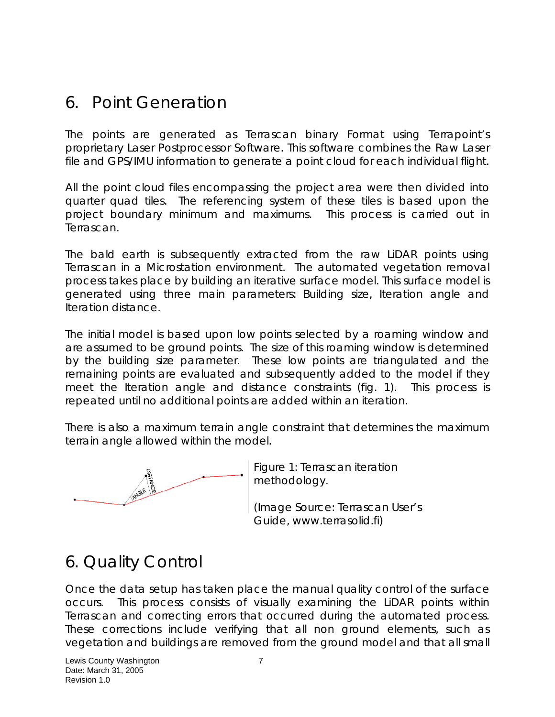## 6. Point Generation

The points are generated as Terrascan binary Format using Terrapoint's proprietary Laser Postprocessor Software. This software combines the Raw Laser file and GPS/IMU information to generate a point cloud for each individual flight.

All the point cloud files encompassing the project area were then divided into quarter quad tiles. The referencing system of these tiles is based upon the project boundary minimum and maximums. This process is carried out in Terrascan.

The bald earth is subsequently extracted from the raw LiDAR points using Terrascan in a Microstation environment. The automated vegetation removal process takes place by building an iterative surface model. This surface model is generated using three main parameters: Building size, Iteration angle and Iteration distance.

The initial model is based upon low points selected by a roaming window and are assumed to be ground points. The size of this roaming window is determined by the building size parameter. These low points are triangulated and the remaining points are evaluated and subsequently added to the model if they meet the Iteration angle and distance constraints (fig. 1). This process is repeated until no additional points are added within an iteration.

There is also a maximum terrain angle constraint that determines the maximum terrain angle allowed within the model.



Figure 1: Terrascan iteration methodology.

(Image Source: Terrascan User's Guide, www.terrasolid.fi)

# 6. Quality Control

Once the data setup has taken place the manual quality control of the surface occurs. This process consists of visually examining the LiDAR points within Terrascan and correcting errors that occurred during the automated process. These corrections include verifying that all non ground elements, such as vegetation and buildings are removed from the ground model and that all small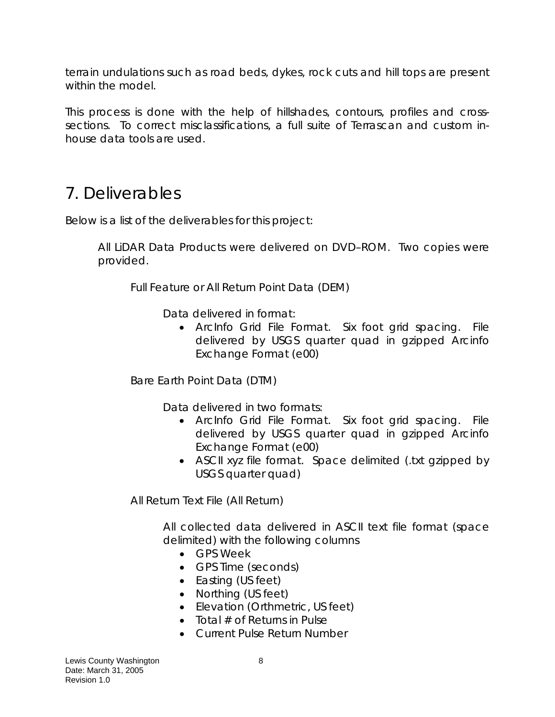terrain undulations such as road beds, dykes, rock cuts and hill tops are present within the model.

This process is done with the help of hillshades, contours, profiles and crosssections. To correct misclassifications, a full suite of Terrascan and custom inhouse data tools are used.

## 7. Deliverables

Below is a list of the deliverables for this project:

All LiDAR Data Products were delivered on DVD–ROM. Two copies were provided.

Full Feature or All Return Point Data (DEM)

Data delivered in format:

• ArcInfo Grid File Format. Six foot grid spacing. File delivered by USGS quarter quad in gzipped Arcinfo Exchange Format (e00)

Bare Earth Point Data (DTM)

Data delivered in two formats:

- ArcInfo Grid File Format. Six foot grid spacing. File delivered by USGS quarter quad in gzipped Arcinfo Exchange Format (e00)
- ASCII xyz file format. Space delimited (.txt gzipped by USGS quarter quad)

All Return Text File (All Return)

All collected data delivered in ASCII text file format (space delimited) with the following columns

- GPS Week
- GPS Time (seconds)
- Easting (US feet)
- Northing (US feet)
- Elevation (Orthmetric, US feet)
- Total  $#$  of Returns in Pulse
- Current Pulse Return Number